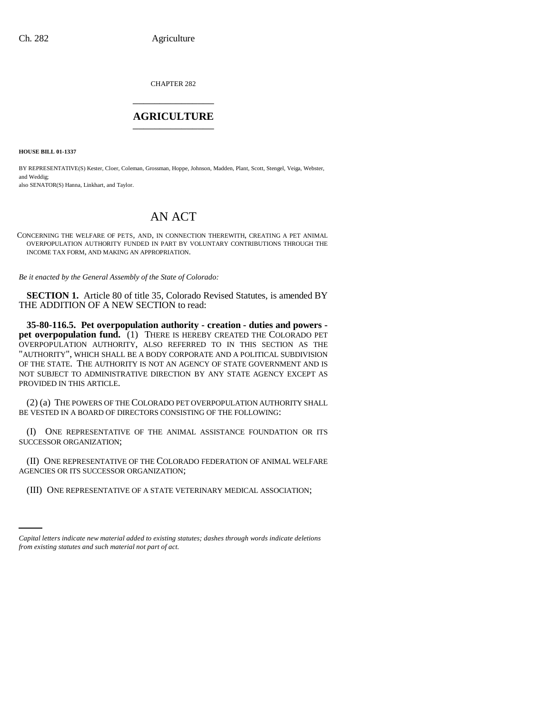CHAPTER 282 \_\_\_\_\_\_\_\_\_\_\_\_\_\_\_

# **AGRICULTURE** \_\_\_\_\_\_\_\_\_\_\_\_\_\_\_

**HOUSE BILL 01-1337**

BY REPRESENTATIVE(S) Kester, Cloer, Coleman, Grossman, Hoppe, Johnson, Madden, Plant, Scott, Stengel, Veiga, Webster, and Weddig;

also SENATOR(S) Hanna, Linkhart, and Taylor.

# AN ACT

CONCERNING THE WELFARE OF PETS, AND, IN CONNECTION THEREWITH, CREATING A PET ANIMAL OVERPOPULATION AUTHORITY FUNDED IN PART BY VOLUNTARY CONTRIBUTIONS THROUGH THE INCOME TAX FORM, AND MAKING AN APPROPRIATION.

*Be it enacted by the General Assembly of the State of Colorado:*

**SECTION 1.** Article 80 of title 35, Colorado Revised Statutes, is amended BY THE ADDITION OF A NEW SECTION to read:

**35-80-116.5. Pet overpopulation authority - creation - duties and powers pet overpopulation fund.** (1) THERE IS HEREBY CREATED THE COLORADO PET OVERPOPULATION AUTHORITY, ALSO REFERRED TO IN THIS SECTION AS THE "AUTHORITY", WHICH SHALL BE A BODY CORPORATE AND A POLITICAL SUBDIVISION OF THE STATE. THE AUTHORITY IS NOT AN AGENCY OF STATE GOVERNMENT AND IS NOT SUBJECT TO ADMINISTRATIVE DIRECTION BY ANY STATE AGENCY EXCEPT AS PROVIDED IN THIS ARTICLE.

(2) (a) THE POWERS OF THE COLORADO PET OVERPOPULATION AUTHORITY SHALL BE VESTED IN A BOARD OF DIRECTORS CONSISTING OF THE FOLLOWING:

(I) ONE REPRESENTATIVE OF THE ANIMAL ASSISTANCE FOUNDATION OR ITS SUCCESSOR ORGANIZATION;

(II) ONE REPRESENTATIVE OF THE COLORADO FEDERATION OF ANIMAL WELFARE AGENCIES OR ITS SUCCESSOR ORGANIZATION;

 (III) ONE REPRESENTATIVE OF A STATE VETERINARY MEDICAL ASSOCIATION;

*Capital letters indicate new material added to existing statutes; dashes through words indicate deletions from existing statutes and such material not part of act.*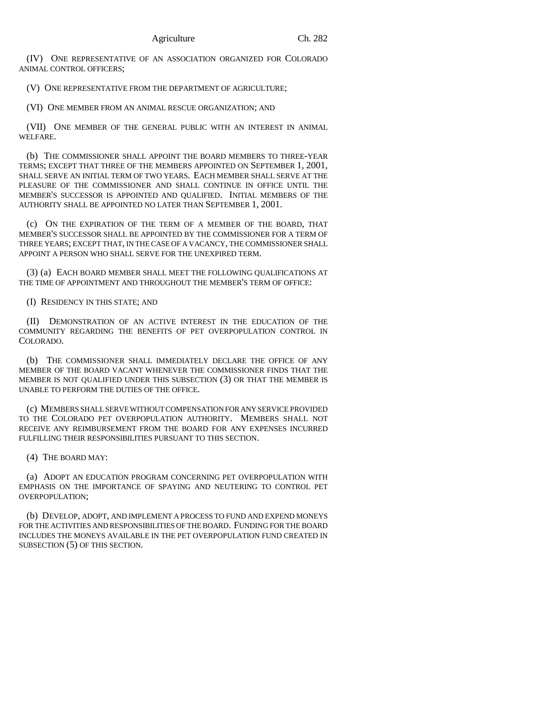(IV) ONE REPRESENTATIVE OF AN ASSOCIATION ORGANIZED FOR COLORADO ANIMAL CONTROL OFFICERS;

(V) ONE REPRESENTATIVE FROM THE DEPARTMENT OF AGRICULTURE;

(VI) ONE MEMBER FROM AN ANIMAL RESCUE ORGANIZATION; AND

(VII) ONE MEMBER OF THE GENERAL PUBLIC WITH AN INTEREST IN ANIMAL WELFARE.

(b) THE COMMISSIONER SHALL APPOINT THE BOARD MEMBERS TO THREE-YEAR TERMS; EXCEPT THAT THREE OF THE MEMBERS APPOINTED ON SEPTEMBER 1, 2001, SHALL SERVE AN INITIAL TERM OF TWO YEARS. EACH MEMBER SHALL SERVE AT THE PLEASURE OF THE COMMISSIONER AND SHALL CONTINUE IN OFFICE UNTIL THE MEMBER'S SUCCESSOR IS APPOINTED AND QUALIFIED. INITIAL MEMBERS OF THE AUTHORITY SHALL BE APPOINTED NO LATER THAN SEPTEMBER 1, 2001.

(c) ON THE EXPIRATION OF THE TERM OF A MEMBER OF THE BOARD, THAT MEMBER'S SUCCESSOR SHALL BE APPOINTED BY THE COMMISSIONER FOR A TERM OF THREE YEARS; EXCEPT THAT, IN THE CASE OF A VACANCY, THE COMMISSIONER SHALL APPOINT A PERSON WHO SHALL SERVE FOR THE UNEXPIRED TERM.

(3) (a) EACH BOARD MEMBER SHALL MEET THE FOLLOWING QUALIFICATIONS AT THE TIME OF APPOINTMENT AND THROUGHOUT THE MEMBER'S TERM OF OFFICE:

(I) RESIDENCY IN THIS STATE; AND

(II) DEMONSTRATION OF AN ACTIVE INTEREST IN THE EDUCATION OF THE COMMUNITY REGARDING THE BENEFITS OF PET OVERPOPULATION CONTROL IN COLORADO.

(b) THE COMMISSIONER SHALL IMMEDIATELY DECLARE THE OFFICE OF ANY MEMBER OF THE BOARD VACANT WHENEVER THE COMMISSIONER FINDS THAT THE MEMBER IS NOT QUALIFIED UNDER THIS SUBSECTION (3) OR THAT THE MEMBER IS UNABLE TO PERFORM THE DUTIES OF THE OFFICE.

(c) MEMBERS SHALL SERVE WITHOUT COMPENSATION FOR ANY SERVICE PROVIDED TO THE COLORADO PET OVERPOPULATION AUTHORITY. MEMBERS SHALL NOT RECEIVE ANY REIMBURSEMENT FROM THE BOARD FOR ANY EXPENSES INCURRED FULFILLING THEIR RESPONSIBILITIES PURSUANT TO THIS SECTION.

(4) THE BOARD MAY:

(a) ADOPT AN EDUCATION PROGRAM CONCERNING PET OVERPOPULATION WITH EMPHASIS ON THE IMPORTANCE OF SPAYING AND NEUTERING TO CONTROL PET OVERPOPULATION;

(b) DEVELOP, ADOPT, AND IMPLEMENT A PROCESS TO FUND AND EXPEND MONEYS FOR THE ACTIVITIES AND RESPONSIBILITIES OF THE BOARD. FUNDING FOR THE BOARD INCLUDES THE MONEYS AVAILABLE IN THE PET OVERPOPULATION FUND CREATED IN SUBSECTION (5) OF THIS SECTION.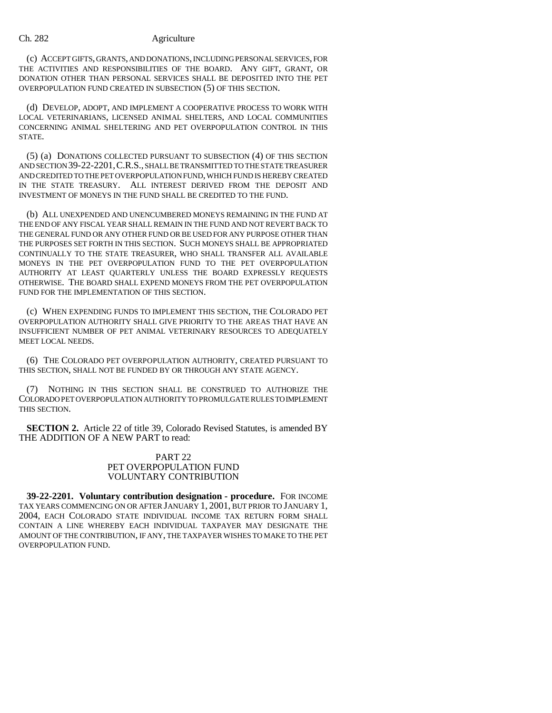### Ch. 282 Agriculture

(c) ACCEPT GIFTS, GRANTS, AND DONATIONS, INCLUDING PERSONAL SERVICES, FOR THE ACTIVITIES AND RESPONSIBILITIES OF THE BOARD. ANY GIFT, GRANT, OR DONATION OTHER THAN PERSONAL SERVICES SHALL BE DEPOSITED INTO THE PET OVERPOPULATION FUND CREATED IN SUBSECTION (5) OF THIS SECTION.

(d) DEVELOP, ADOPT, AND IMPLEMENT A COOPERATIVE PROCESS TO WORK WITH LOCAL VETERINARIANS, LICENSED ANIMAL SHELTERS, AND LOCAL COMMUNITIES CONCERNING ANIMAL SHELTERING AND PET OVERPOPULATION CONTROL IN THIS STATE.

(5) (a) DONATIONS COLLECTED PURSUANT TO SUBSECTION (4) OF THIS SECTION AND SECTION 39-22-2201,C.R.S., SHALL BE TRANSMITTED TO THE STATE TREASURER AND CREDITED TO THE PET OVERPOPULATION FUND, WHICH FUND IS HEREBY CREATED IN THE STATE TREASURY. ALL INTEREST DERIVED FROM THE DEPOSIT AND INVESTMENT OF MONEYS IN THE FUND SHALL BE CREDITED TO THE FUND.

(b) ALL UNEXPENDED AND UNENCUMBERED MONEYS REMAINING IN THE FUND AT THE END OF ANY FISCAL YEAR SHALL REMAIN IN THE FUND AND NOT REVERT BACK TO THE GENERAL FUND OR ANY OTHER FUND OR BE USED FOR ANY PURPOSE OTHER THAN THE PURPOSES SET FORTH IN THIS SECTION. SUCH MONEYS SHALL BE APPROPRIATED CONTINUALLY TO THE STATE TREASURER, WHO SHALL TRANSFER ALL AVAILABLE MONEYS IN THE PET OVERPOPULATION FUND TO THE PET OVERPOPULATION AUTHORITY AT LEAST QUARTERLY UNLESS THE BOARD EXPRESSLY REQUESTS OTHERWISE. THE BOARD SHALL EXPEND MONEYS FROM THE PET OVERPOPULATION FUND FOR THE IMPLEMENTATION OF THIS SECTION.

(c) WHEN EXPENDING FUNDS TO IMPLEMENT THIS SECTION, THE COLORADO PET OVERPOPULATION AUTHORITY SHALL GIVE PRIORITY TO THE AREAS THAT HAVE AN INSUFFICIENT NUMBER OF PET ANIMAL VETERINARY RESOURCES TO ADEQUATELY MEET LOCAL NEEDS.

(6) THE COLORADO PET OVERPOPULATION AUTHORITY, CREATED PURSUANT TO THIS SECTION, SHALL NOT BE FUNDED BY OR THROUGH ANY STATE AGENCY.

(7) NOTHING IN THIS SECTION SHALL BE CONSTRUED TO AUTHORIZE THE COLORADO PET OVERPOPULATION AUTHORITY TO PROMULGATE RULES TO IMPLEMENT THIS SECTION.

**SECTION 2.** Article 22 of title 39, Colorado Revised Statutes, is amended BY THE ADDITION OF A NEW PART to read:

# PART 22 PET OVERPOPULATION FUND VOLUNTARY CONTRIBUTION

**39-22-2201. Voluntary contribution designation - procedure.** FOR INCOME TAX YEARS COMMENCING ON OR AFTER JANUARY 1, 2001, BUT PRIOR TO JANUARY 1, 2004, EACH COLORADO STATE INDIVIDUAL INCOME TAX RETURN FORM SHALL CONTAIN A LINE WHEREBY EACH INDIVIDUAL TAXPAYER MAY DESIGNATE THE AMOUNT OF THE CONTRIBUTION, IF ANY, THE TAXPAYER WISHES TO MAKE TO THE PET OVERPOPULATION FUND.